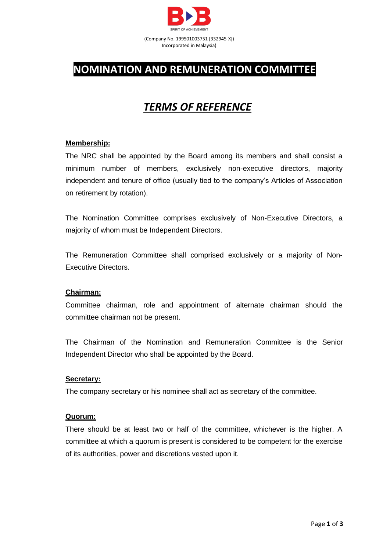

# **NOMINATION AND REMUNERATION COMMITTEE**

# *TERMS OF REFERENCE*

# **Membership:**

The NRC shall be appointed by the Board among its members and shall consist a minimum number of members, exclusively non-executive directors, majority independent and tenure of office (usually tied to the company's Articles of Association on retirement by rotation).

The Nomination Committee comprises exclusively of Non-Executive Directors, a majority of whom must be Independent Directors.

The Remuneration Committee shall comprised exclusively or a majority of Non-Executive Directors.

## **Chairman:**

Committee chairman, role and appointment of alternate chairman should the committee chairman not be present.

The Chairman of the Nomination and Remuneration Committee is the Senior Independent Director who shall be appointed by the Board.

## **Secretary:**

The company secretary or his nominee shall act as secretary of the committee.

## **Quorum:**

There should be at least two or half of the committee, whichever is the higher. A committee at which a quorum is present is considered to be competent for the exercise of its authorities, power and discretions vested upon it.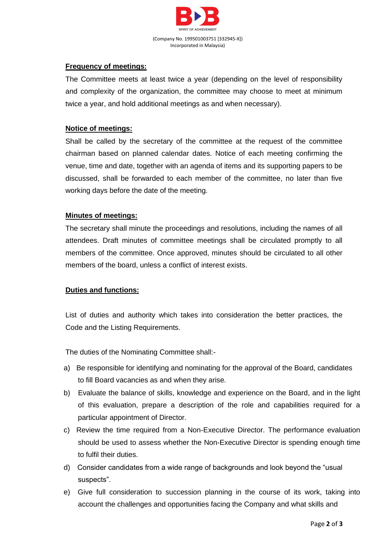

# **Frequency of meetings:**

The Committee meets at least twice a year (depending on the level of responsibility and complexity of the organization, the committee may choose to meet at minimum twice a year, and hold additional meetings as and when necessary).

# **Notice of meetings:**

Shall be called by the secretary of the committee at the request of the committee chairman based on planned calendar dates. Notice of each meeting confirming the venue, time and date, together with an agenda of items and its supporting papers to be discussed, shall be forwarded to each member of the committee, no later than five working days before the date of the meeting.

# **Minutes of meetings:**

The secretary shall minute the proceedings and resolutions, including the names of all attendees. Draft minutes of committee meetings shall be circulated promptly to all members of the committee. Once approved, minutes should be circulated to all other members of the board, unless a conflict of interest exists.

## **Duties and functions:**

List of duties and authority which takes into consideration the better practices, the Code and the Listing Requirements.

The duties of the Nominating Committee shall:-

- a) Be responsible for identifying and nominating for the approval of the Board, candidates to fill Board vacancies as and when they arise.
- b) Evaluate the balance of skills, knowledge and experience on the Board, and in the light of this evaluation, prepare a description of the role and capabilities required for a particular appointment of Director.
- c) Review the time required from a Non-Executive Director. The performance evaluation should be used to assess whether the Non-Executive Director is spending enough time to fulfil their duties.
- d) Consider candidates from a wide range of backgrounds and look beyond the "usual suspects".
- e) Give full consideration to succession planning in the course of its work, taking into account the challenges and opportunities facing the Company and what skills and